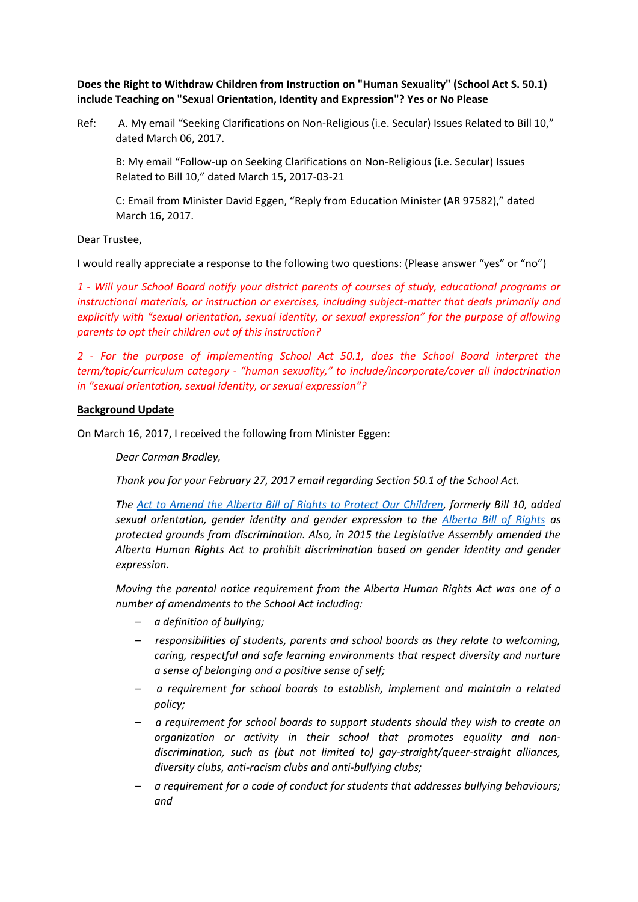**Does the Right to Withdraw Children from Instruction on "Human Sexuality" (School Act S. 50.1) include Teaching on "Sexual Orientation, Identity and Expression"? Yes or No Please**

Ref: A. My email "Seeking Clarifications on Non-Religious (i.e. Secular) Issues Related to Bill 10," dated March 06, 2017.

B: My email "Follow-up on Seeking Clarifications on Non-Religious (i.e. Secular) Issues Related to Bill 10," dated March 15, 2017-03-21

C: Email from Minister David Eggen, "Reply from Education Minister (AR 97582)," dated March 16, 2017.

Dear Trustee,

I would really appreciate a response to the following two questions: (Please answer "yes" or "no")

*1 - Will your School Board notify your district parents of courses of study, educational programs or instructional materials, or instruction or exercises, including subject-matter that deals primarily and explicitly with "sexual orientation, sexual identity, or sexual expression" for the purpose of allowing parents to opt their children out of this instruction?*

*2 - For the purpose of implementing School Act 50.1, does the School Board interpret the term/topic/curriculum category - "human sexuality," to include/incorporate/cover all indoctrination in "sexual orientation, sexual identity, or sexual expression"?*

## **Background Update**

On March 16, 2017, I received the following from Minister Eggen:

*Dear Carman Bradley,*

*Thank you for your February 27, 2017 email regarding Section 50.1 of the School Act.* 

*The [Act to Amend the Alberta Bill of Rights to Protect Our Children,](https://education.alberta.ca/media/158726/act_to_amend_the_alberta_bill_of_rights_to_protect_our_children.pdf) formerly Bill 10, added sexual orientation, gender identity and gender expression to the [Alberta Bill of Rights](http://www.qp.alberta.ca/documents/Acts/A14.pdf) as protected grounds from discrimination. Also, in 2015 the Legislative Assembly amended the Alberta Human Rights Act to prohibit discrimination based on gender identity and gender expression.*

*Moving the parental notice requirement from the Alberta Human Rights Act was one of a number of amendments to the School Act including:*

- *– a definition of bullying;*
- *– responsibilities of students, parents and school boards as they relate to welcoming, caring, respectful and safe learning environments that respect diversity and nurture a sense of belonging and a positive sense of self;*
- *– a requirement for school boards to establish, implement and maintain a related policy;*
- *– a requirement for school boards to support students should they wish to create an organization or activity in their school that promotes equality and nondiscrimination, such as (but not limited to) gay-straight/queer-straight alliances, diversity clubs, anti-racism clubs and anti-bullying clubs;*
- *– a requirement for a code of conduct for students that addresses bullying behaviours; and*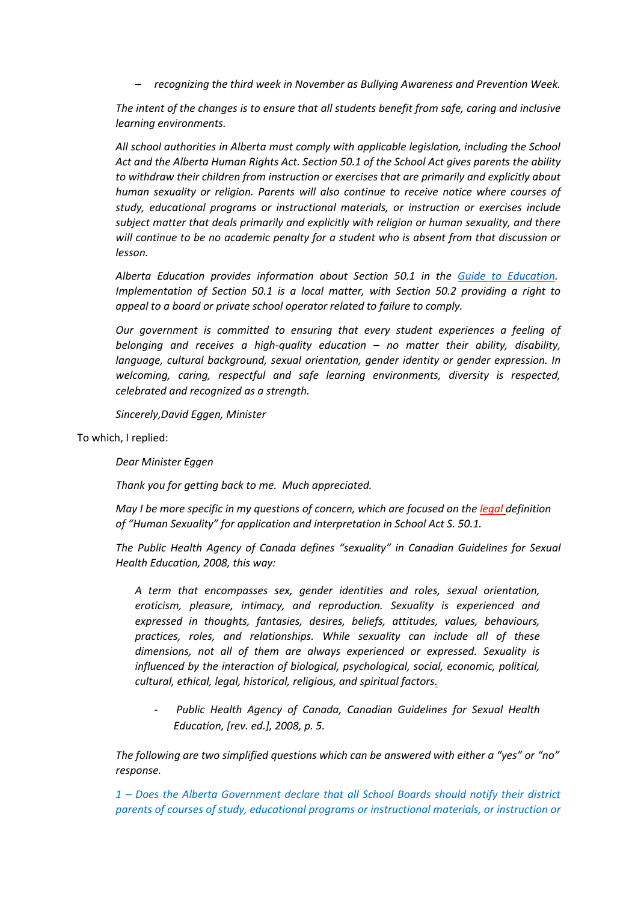*– recognizing the third week in November as Bullying Awareness and Prevention Week.*

*The intent of the changes is to ensure that all students benefit from safe, caring and inclusive learning environments.*

*All school authorities in Alberta must comply with applicable legislation, including the School Act and the Alberta Human Rights Act. Section 50.1 of the School Act gives parents the ability to withdraw their children from instruction or exercises that are primarily and explicitly about human sexuality or religion. Parents will also continue to receive notice where courses of study, educational programs or instructional materials, or instruction or exercises include subject matter that deals primarily and explicitly with religion or human sexuality, and there will continue to be no academic penalty for a student who is absent from that discussion or lesson.* 

*Alberta Education provides information about Section 50.1 in the [Guide to Education.](https://education.alberta.ca/guide-to-education/the-guide-to-education/) Implementation of Section 50.1 is a local matter, with Section 50.2 providing a right to appeal to a board or private school operator related to failure to comply.*

*Our government is committed to ensuring that every student experiences a feeling of belonging and receives a high-quality education – no matter their ability, disability, language, cultural background, sexual orientation, gender identity or gender expression. In welcoming, caring, respectful and safe learning environments, diversity is respected, celebrated and recognized as a strength.*

*Sincerely,David Eggen, Minister*

To which, I replied:

*Dear Minister Eggen*

*Thank you for getting back to me. Much appreciated.*

*May I be more specific in my questions of concern, which are focused on the legal definition of "Human Sexuality" for application and interpretation in School Act S. 50.1.*

*The Public Health Agency of Canada defines "sexuality" in Canadian Guidelines for Sexual Health Education, 2008, this way:* 

*A term that encompasses sex, gender identities and roles, sexual orientation, eroticism, pleasure, intimacy, and reproduction. Sexuality is experienced and expressed in thoughts, fantasies, desires, beliefs, attitudes, values, behaviours, practices, roles, and relationships. While sexuality can include all of these dimensions, not all of them are always experienced or expressed. Sexuality is influenced by the interaction of biological, psychological, social, economic, political, cultural, ethical, legal, historical, religious, and spiritual factors.*

*- Public Health Agency of Canada, Canadian Guidelines for Sexual Health Education, [rev. ed.], 2008, p. 5.*

*The following are two simplified questions which can be answered with either a "yes" or "no" response.*

*1 – Does the Alberta Government declare that all School Boards should notify their district parents of courses of study, educational programs or instructional materials, or instruction or*